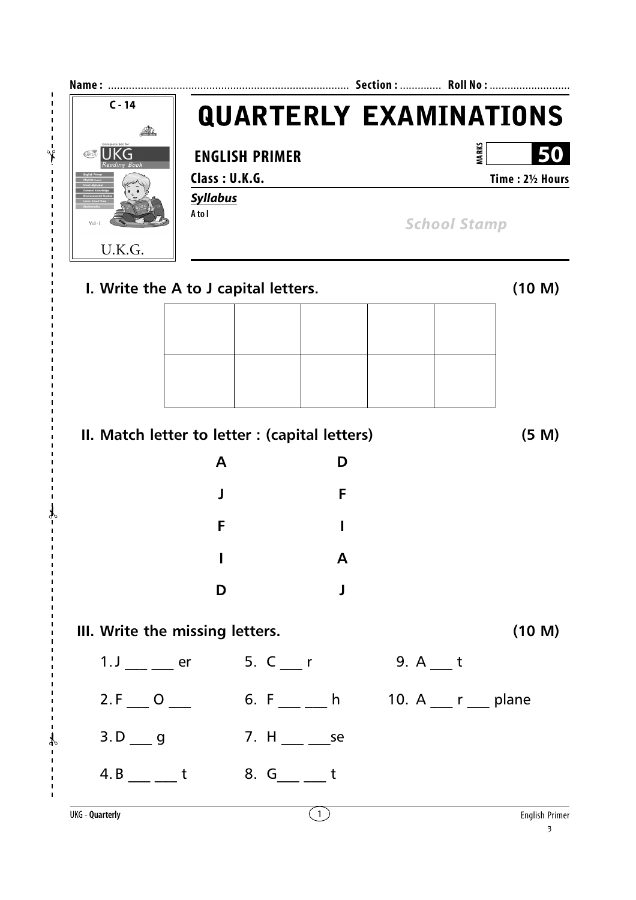| $C - 14$                                       |                         |                                                |                     | <b>QUARTERLY EXAMINATIONS</b> |  |
|------------------------------------------------|-------------------------|------------------------------------------------|---------------------|-------------------------------|--|
| $\left(\widetilde{GTUS}\right)$<br>UKG         | <b>ENGLISH PRIMER</b>   |                                                |                     | <b>MARKS</b><br>50            |  |
|                                                | Class: U.K.G.           |                                                |                     | Time: 21/2 Hours              |  |
| $Vol - I$                                      | <b>Syllabus</b><br>Atol |                                                | <b>School Stamp</b> |                               |  |
| U.K.G.<br>I. Write the A to J capital letters. |                         |                                                |                     | (10 M)                        |  |
|                                                |                         |                                                |                     |                               |  |
|                                                |                         |                                                |                     |                               |  |
|                                                |                         |                                                |                     |                               |  |
|                                                |                         |                                                |                     |                               |  |
|                                                |                         | II. Match letter to letter : (capital letters) |                     | (5 M)                         |  |
|                                                | A                       | D                                              |                     |                               |  |
|                                                | I                       | F                                              |                     |                               |  |
|                                                | F                       |                                                |                     |                               |  |
|                                                |                         | A                                              |                     |                               |  |
|                                                | D                       | J                                              |                     |                               |  |
| III. Write the missing letters.                |                         |                                                |                     | (10 M)                        |  |
| $1.$ J $\_\_$ $\_\_$ er                        |                         | 5. $C_{r}$                                     | $9. A$ t            |                               |  |
| $2.F \_ 0 \_$                                  |                         |                                                |                     |                               |  |
| $3.D \_ 9$                                     |                         | 7. H                                           |                     |                               |  |
| $4. B$ __ _ t                                  |                         | 8. $G_{\_\_\_\_}$ t                            |                     |                               |  |
| <b>UKG - Quarterly</b>                         |                         | (1)                                            |                     | <b>English Primer</b>         |  |

✃

 $\overline{1}$ r  $\mathbf{I}$  $\mathbf I$  $\mathbf I$ Ï

f **I** 

✃

f

✃

 $\begin{array}{c} 1 \\ 1 \\ 1 \end{array}$  $\frac{1}{1}$  $\overline{1}$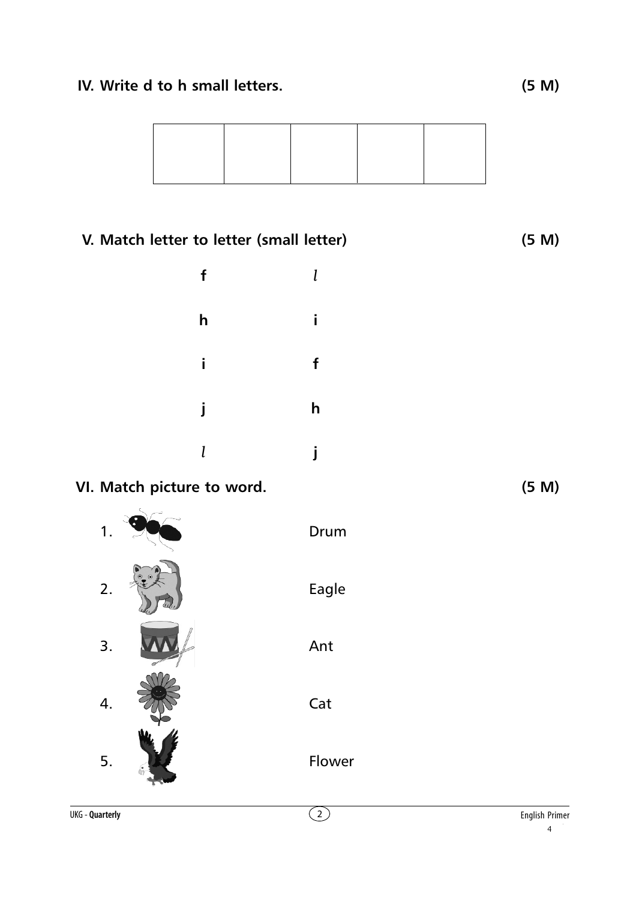## **IV. Write d to h small letters. (5 M)**



## **V. Match letter to letter (small letter) (5 M) f** *l* **h i i f j h** *l* **j VI. Match picture to word. (5 M)**